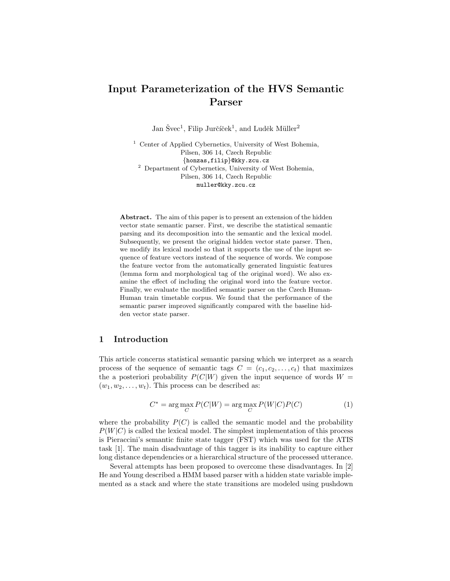# Input Parameterization of the HVS Semantic Parser

Jan Švec<sup>1</sup>, Filip Jurčíček<sup>1</sup>, and Luděk Müller<sup>2</sup>

<sup>1</sup> Center of Applied Cybernetics, University of West Bohemia, Pilsen, 306 14, Czech Republic {honzas,filip}@kky.zcu.cz <sup>2</sup> Department of Cybernetics, University of West Bohemia, Pilsen, 306 14, Czech Republic muller@kky.zcu.cz

Abstract. The aim of this paper is to present an extension of the hidden vector state semantic parser. First, we describe the statistical semantic parsing and its decomposition into the semantic and the lexical model. Subsequently, we present the original hidden vector state parser. Then, we modify its lexical model so that it supports the use of the input sequence of feature vectors instead of the sequence of words. We compose the feature vector from the automatically generated linguistic features (lemma form and morphological tag of the original word). We also examine the effect of including the original word into the feature vector. Finally, we evaluate the modified semantic parser on the Czech Human-Human train timetable corpus. We found that the performance of the semantic parser improved significantly compared with the baseline hidden vector state parser.

# 1 Introduction

This article concerns statistical semantic parsing which we interpret as a search process of the sequence of semantic tags  $C = (c_1, c_2, \ldots, c_t)$  that maximizes the a posteriori probability  $P(C|W)$  given the input sequence of words  $W =$  $(w_1, w_2, \ldots, w_t)$ . This process can be described as:

$$
C^* = \arg\max_C P(C|W) = \arg\max_C P(W|C)P(C)
$$
\n(1)

where the probability  $P(C)$  is called the semantic model and the probability  $P(W|C)$  is called the lexical model. The simplest implementation of this process is Pieraccini's semantic finite state tagger (FST) which was used for the ATIS task [1]. The main disadvantage of this tagger is its inability to capture either long distance dependencies or a hierarchical structure of the processed utterance.

Several attempts has been proposed to overcome these disadvantages. In [2] He and Young described a HMM based parser with a hidden state variable implemented as a stack and where the state transitions are modeled using pushdown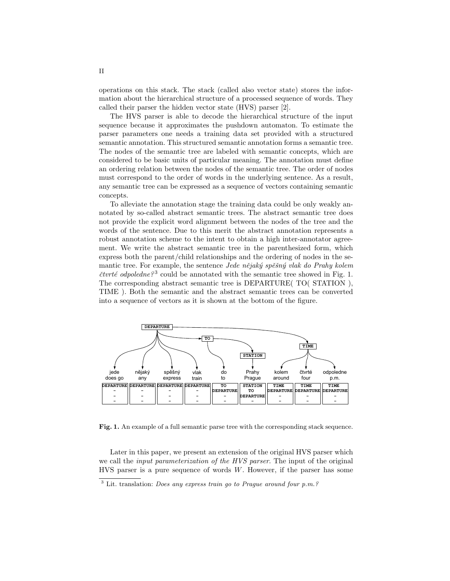operations on this stack. The stack (called also vector state) stores the information about the hierarchical structure of a processed sequence of words. They called their parser the hidden vector state (HVS) parser [2].

The HVS parser is able to decode the hierarchical structure of the input sequence because it approximates the pushdown automaton. To estimate the parser parameters one needs a training data set provided with a structured semantic annotation. This structured semantic annotation forms a semantic tree. The nodes of the semantic tree are labeled with semantic concepts, which are considered to be basic units of particular meaning. The annotation must define an ordering relation between the nodes of the semantic tree. The order of nodes must correspond to the order of words in the underlying sentence. As a result, any semantic tree can be expressed as a sequence of vectors containing semantic concepts.

To alleviate the annotation stage the training data could be only weakly annotated by so-called abstract semantic trees. The abstract semantic tree does not provide the explicit word alignment between the nodes of the tree and the words of the sentence. Due to this merit the abstract annotation represents a robust annotation scheme to the intent to obtain a high inter-annotator agreement. We write the abstract semantic tree in the parenthesized form, which express both the parent/child relationships and the ordering of nodes in the semantic tree. For example, the sentence *Jede nějaký spěšný vlak do Prahy kolem* čtvrté odpoledne?<sup>3</sup> could be annotated with the semantic tree showed in Fig. 1. The corresponding abstract semantic tree is DEPARTURE( TO( STATION ), TIME ). Both the semantic and the abstract semantic trees can be converted into a sequence of vectors as it is shown at the bottom of the figure.



Fig. 1. An example of a full semantic parse tree with the corresponding stack sequence.

Later in this paper, we present an extension of the original HVS parser which we call the *input parameterization of the HVS parser*. The input of the original  $HVS$  parser is a pure sequence of words  $W$ . However, if the parser has some

 $3$  Lit. translation: *Does any express train go to Prague around four p.m.?*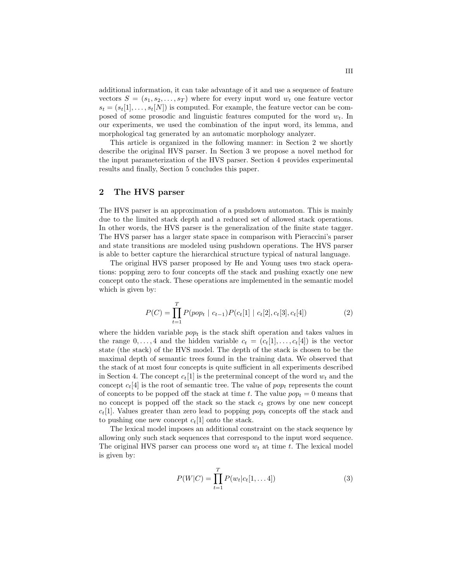additional information, it can take advantage of it and use a sequence of feature vectors  $S = (s_1, s_2, \ldots, s_T)$  where for every input word  $w_t$  one feature vector  $s_t = (s_t[1], \ldots, s_t[N])$  is computed. For example, the feature vector can be composed of some prosodic and linguistic features computed for the word  $w_t$ . In our experiments, we used the combination of the input word, its lemma, and morphological tag generated by an automatic morphology analyzer.

This article is organized in the following manner: in Section 2 we shortly describe the original HVS parser. In Section 3 we propose a novel method for the input parameterization of the HVS parser. Section 4 provides experimental results and finally, Section 5 concludes this paper.

# 2 The HVS parser

The HVS parser is an approximation of a pushdown automaton. This is mainly due to the limited stack depth and a reduced set of allowed stack operations. In other words, the HVS parser is the generalization of the finite state tagger. The HVS parser has a larger state space in comparison with Pieraccini's parser and state transitions are modeled using pushdown operations. The HVS parser is able to better capture the hierarchical structure typical of natural language.

The original HVS parser proposed by He and Young uses two stack operations: popping zero to four concepts off the stack and pushing exactly one new concept onto the stack. These operations are implemented in the semantic model which is given by:

$$
P(C) = \prod_{t=1}^{T} P(pop_t | c_{t-1}) P(c_t[1 | c_t[2], c_t[3], c_t[4])
$$
\n(2)

where the hidden variable  $pop_t$  is the stack shift operation and takes values in the range  $0, \ldots, 4$  and the hidden variable  $c_t = (c_t[1], \ldots, c_t[4])$  is the vector state (the stack) of the HVS model. The depth of the stack is chosen to be the maximal depth of semantic trees found in the training data. We observed that the stack of at most four concepts is quite sufficient in all experiments described in Section 4. The concept  $c_t[1]$  is the preterminal concept of the word  $w_t$  and the concept  $c_t[4]$  is the root of semantic tree. The value of  $pop_t$  represents the count of concepts to be popped off the stack at time t. The value  $pop_t = 0$  means that no concept is popped off the stack so the stack  $c_t$  grows by one new concept  $c_t$ [1]. Values greater than zero lead to popping  $pop_t$  concepts off the stack and to pushing one new concept  $c_t[1]$  onto the stack.

The lexical model imposes an additional constraint on the stack sequence by allowing only such stack sequences that correspond to the input word sequence. The original HVS parser can process one word  $w_t$  at time t. The lexical model is given by:

$$
P(W|C) = \prod_{t=1}^{T} P(w_t|c_t[1,... 4])
$$
\n(3)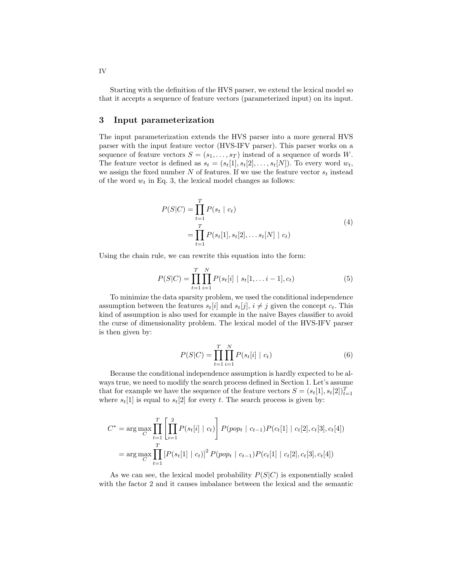Starting with the definition of the HVS parser, we extend the lexical model so that it accepts a sequence of feature vectors (parameterized input) on its input.

## 3 Input parameterization

The input parameterization extends the HVS parser into a more general HVS parser with the input feature vector (HVS-IFV parser). This parser works on a sequence of feature vectors  $S = (s_1, \ldots, s_T)$  instead of a sequence of words W. The feature vector is defined as  $s_t = (s_t[1], s_t[2], \ldots, s_t[N])$ . To every word  $w_t$ , we assign the fixed number  $N$  of features. If we use the feature vector  $s_t$  instead of the word  $w_t$  in Eq. 3, the lexical model changes as follows:

$$
P(S|C) = \prod_{t=1}^{T} P(s_t | c_t)
$$
  
= 
$$
\prod_{t=1}^{T} P(s_t[1], s_t[2], \dots s_t[N] | c_t)
$$
 (4)

Using the chain rule, we can rewrite this equation into the form:

$$
P(S|C) = \prod_{t=1}^{T} \prod_{i=1}^{N} P(s_t[i] \mid s_t[1, \dots i-1], c_t)
$$
 (5)

To minimize the data sparsity problem, we used the conditional independence assumption between the features  $s_t[i]$  and  $s_t[j]$ ,  $i \neq j$  given the concept  $c_t$ . This kind of assumption is also used for example in the naive Bayes classifier to avoid the curse of dimensionality problem. The lexical model of the HVS-IFV parser is then given by:

$$
P(S|C) = \prod_{t=1}^{T} \prod_{i=1}^{N} P(s_t[i] | c_t)
$$
\n(6)

Because the conditional independence assumption is hardly expected to be always true, we need to modify the search process defined in Section 1. Let's assume that for example we have the sequence of the feature vectors  $S = (s_t[1], s_t[2])_{t=1}^T$ where  $s_t[1]$  is equal to  $s_t[2]$  for every t. The search process is given by:

$$
C^* = \arg \max_{C} \prod_{t=1}^T \left[ \prod_{i=1}^2 P(s_t[i] \mid c_t) \right] P(pop_t \mid c_{t-1}) P(c_t[1] \mid c_t[2], c_t[3], c_t[4])
$$

$$
= \arg \max_{C} \prod_{t=1}^T \left[ P(s_t[1] \mid c_t) \right]^2 P(pop_t \mid c_{t-1}) P(c_t[1] \mid c_t[2], c_t[3], c_t[4])
$$

As we can see, the lexical model probability  $P(S|C)$  is exponentially scaled with the factor 2 and it causes imbalance between the lexical and the semantic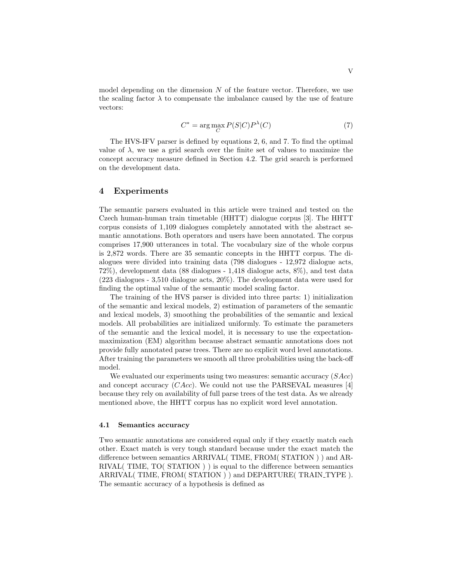model depending on the dimension  $N$  of the feature vector. Therefore, we use the scaling factor  $\lambda$  to compensate the imbalance caused by the use of feature vectors:

$$
C^* = \arg\max_C P(S|C)P^{\lambda}(C)
$$
\n(7)

The HVS-IFV parser is defined by equations 2, 6, and 7. To find the optimal value of  $\lambda$ , we use a grid search over the finite set of values to maximize the concept accuracy measure defined in Section 4.2. The grid search is performed on the development data.

## 4 Experiments

The semantic parsers evaluated in this article were trained and tested on the Czech human-human train timetable (HHTT) dialogue corpus [3]. The HHTT corpus consists of 1,109 dialogues completely annotated with the abstract semantic annotations. Both operators and users have been annotated. The corpus comprises 17,900 utterances in total. The vocabulary size of the whole corpus is 2,872 words. There are 35 semantic concepts in the HHTT corpus. The dialogues were divided into training data (798 dialogues - 12,972 dialogue acts, 72%), development data (88 dialogues - 1,418 dialogue acts, 8%), and test data (223 dialogues - 3,510 dialogue acts, 20%). The development data were used for finding the optimal value of the semantic model scaling factor.

The training of the HVS parser is divided into three parts: 1) initialization of the semantic and lexical models, 2) estimation of parameters of the semantic and lexical models, 3) smoothing the probabilities of the semantic and lexical models. All probabilities are initialized uniformly. To estimate the parameters of the semantic and the lexical model, it is necessary to use the expectationmaximization (EM) algorithm because abstract semantic annotations does not provide fully annotated parse trees. There are no explicit word level annotations. After training the parameters we smooth all three probabilities using the back-off model.

We evaluated our experiments using two measures: semantic accuracy  $(SAcc)$ and concept accuracy  $(CAcc)$ . We could not use the PARSEVAL measures [4] because they rely on availability of full parse trees of the test data. As we already mentioned above, the HHTT corpus has no explicit word level annotation.

### 4.1 Semantics accuracy

Two semantic annotations are considered equal only if they exactly match each other. Exact match is very tough standard because under the exact match the difference between semantics ARRIVAL( TIME, FROM( STATION ) ) and AR-RIVAL( TIME, TO( STATION ) ) is equal to the difference between semantics ARRIVAL(TIME, FROM(STATION)) and DEPARTURE(TRAIN\_TYPE). The semantic accuracy of a hypothesis is defined as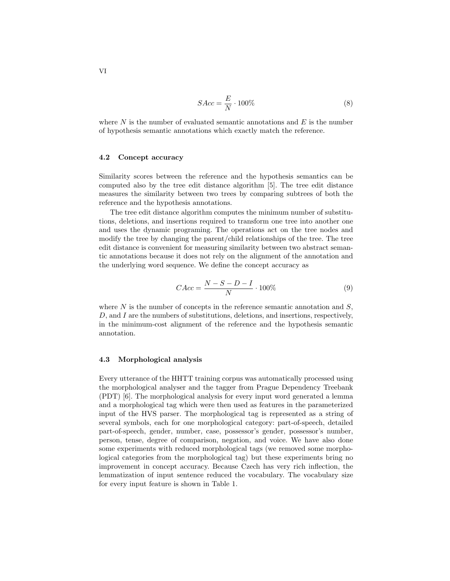$$
SAcc = \frac{E}{N} \cdot 100\% \tag{8}
$$

where  $N$  is the number of evaluated semantic annotations and  $E$  is the number of hypothesis semantic annotations which exactly match the reference.

## 4.2 Concept accuracy

Similarity scores between the reference and the hypothesis semantics can be computed also by the tree edit distance algorithm [5]. The tree edit distance measures the similarity between two trees by comparing subtrees of both the reference and the hypothesis annotations.

The tree edit distance algorithm computes the minimum number of substitutions, deletions, and insertions required to transform one tree into another one and uses the dynamic programing. The operations act on the tree nodes and modify the tree by changing the parent/child relationships of the tree. The tree edit distance is convenient for measuring similarity between two abstract semantic annotations because it does not rely on the alignment of the annotation and the underlying word sequence. We define the concept accuracy as

$$
CAcc = \frac{N - S - D - I}{N} \cdot 100\% \tag{9}
$$

where  $N$  is the number of concepts in the reference semantic annotation and  $S$ , D, and I are the numbers of substitutions, deletions, and insertions, respectively, in the minimum-cost alignment of the reference and the hypothesis semantic annotation.

### 4.3 Morphological analysis

Every utterance of the HHTT training corpus was automatically processed using the morphological analyser and the tagger from Prague Dependency Treebank (PDT) [6]. The morphological analysis for every input word generated a lemma and a morphological tag which were then used as features in the parameterized input of the HVS parser. The morphological tag is represented as a string of several symbols, each for one morphological category: part-of-speech, detailed part-of-speech, gender, number, case, possessor's gender, possessor's number, person, tense, degree of comparison, negation, and voice. We have also done some experiments with reduced morphological tags (we removed some morphological categories from the morphological tag) but these experiments bring no improvement in concept accuracy. Because Czech has very rich inflection, the lemmatization of input sentence reduced the vocabulary. The vocabulary size for every input feature is shown in Table 1.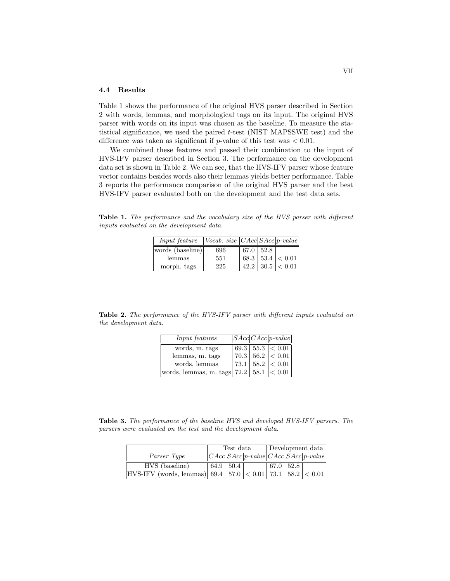## 4.4 Results

Table 1 shows the performance of the original HVS parser described in Section 2 with words, lemmas, and morphological tags on its input. The original HVS parser with words on its input was chosen as the baseline. To measure the statistical significance, we used the paired t-test (NIST MAPSSWE test) and the difference was taken as significant if  $p$ -value of this test was  $\lt$  0.01.

We combined these features and passed their combination to the input of HVS-IFV parser described in Section 3. The performance on the development data set is shown in Table 2. We can see, that the HVS-IFV parser whose feature vector contains besides words also their lemmas yields better performance. Table 3 reports the performance comparison of the original HVS parser and the best HVS-IFV parser evaluated both on the development and the test data sets.

Table 1. The performance and the vocabulary size of the HVS parser with different inputs evaluated on the development data.

| $Input\ feature$ $ Vocab. \ size   CAC SAcc  p-value $ |     |                         |                             |
|--------------------------------------------------------|-----|-------------------------|-----------------------------|
| words (baseline)                                       | 696 | $\parallel$ 67.0   52.8 |                             |
| lemmas                                                 | 551 |                         | $\ $ 68.3   53.4   $< 0.01$ |
| morph. tags                                            | 225 |                         | 42.2 30.5  < 0.01           |

Table 2. The performance of the HVS-IFV parser with different inputs evaluated on the development data.

| <i>Input features</i>                          |  | $ SAcc CAcc p-value $             |
|------------------------------------------------|--|-----------------------------------|
| words, m. tags                                 |  | 69.3   55.3   < 0.01              |
| lemmas, m. tags                                |  | $70.3 \mid 56.2 \mid < 0.01 \mid$ |
| words, lemmas                                  |  | $73.1 \mid 58.2 \mid < 0.01 \mid$ |
| words, lemmas, m. tags  72.2   58.1 $ < 0.01 $ |  |                                   |

Table 3. The performance of the baseline HVS and developed HVS-IFV parsers. The parsers were evaluated on the test and the development data.

|                                                                           | Test data       |  |  | Development data |  |                                       |
|---------------------------------------------------------------------------|-----------------|--|--|------------------|--|---------------------------------------|
| Parser Type                                                               |                 |  |  |                  |  | $ CAC SAcc p-value CAC SAcc p-value $ |
| HVS (baseline)                                                            | $64.9$   $50.4$ |  |  | $67.0$   52.8    |  |                                       |
| $ HVS-IFV $ (words, lemmas) 69.4   57.0 $ < 0.01$   73.1   58.2 $ < 0.01$ |                 |  |  |                  |  |                                       |